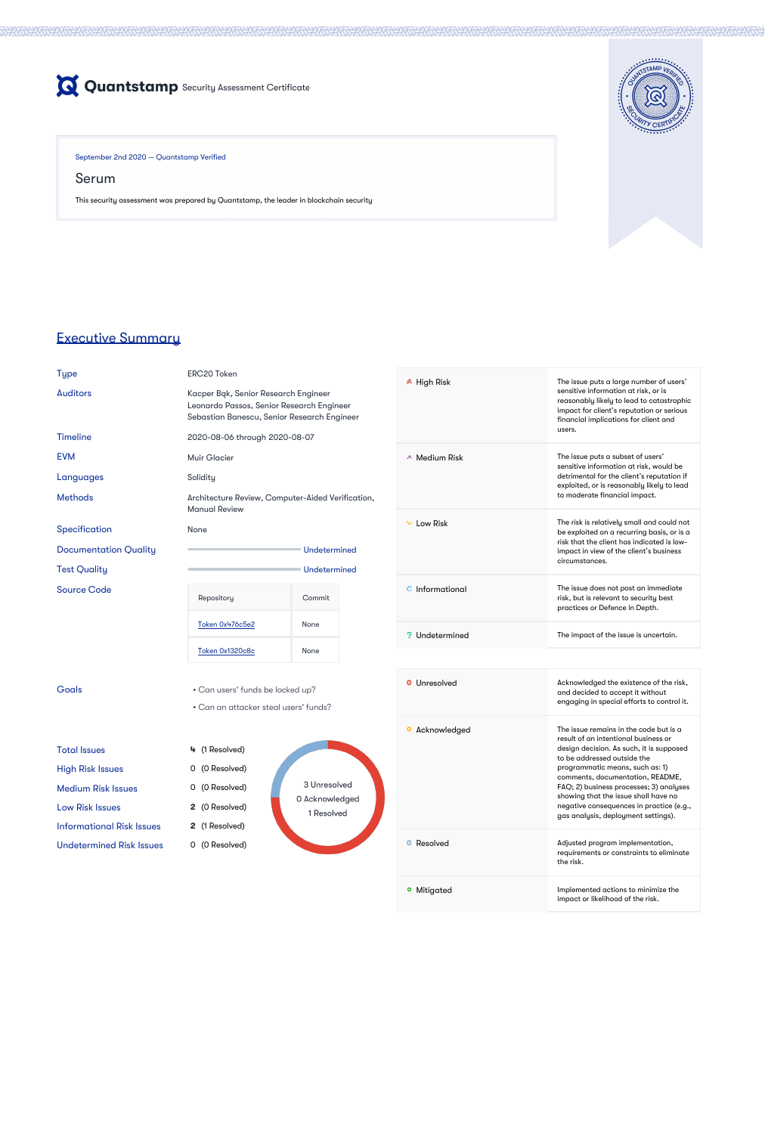

September 2nd 2020 — Quantstamp Verified

Serum

This security assessment was prepared by Quantstamp, the leader in blockchain security



# Executive Summary

ERC20 Token

Auditors Kacper Bąk, Senior Research Engineer Leonardo Passos, Senior Research Engineer Sebastian Banescu, Senior Research Engineer

EVM Muir Glacier Languages Solidity Methods **Architecture Review, Computer-Aided Verification**, Manual Review

Documentation Quality and Controller Controller Undetermined Test Quality and Test Quality Contract Contract Contract Contract Contract Contract Contract Contract Contract Contract Contract Contract Contract Contract Contract Contract Contract Contract Contract Contract Contract Con Repository **Commit** 

[Token 0x1320c8c](https://etherscan.io/address/0x1320c8c64b9f2eAa851F70702e6C9FC1EE4E8Ce4#code) None

[Token 0x476c5e2](https://etherscan.io/address/0x476c5e26a75bd202a9683ffd34359c0cc15be0ff#code) None

Timeline 2020-08-06 through 2020-08-07

Total Issues **4** (1 Resolved) High Risk Issues 0 (0 Resolved) Medium Risk Issues **0 (0 Resolved)** Low Risk Issues **2** (0 Resolved)

Source Code

• Can an attacker steal users' funds?

Informational Risk Issues **2** (1 Resolved)

Undetermined Risk Issues 0 (0 Resolved)

3 Unresolved 0 Acknowledged 1 Resolved

High Risk The issue puts a large number of users' sensitive information at risk, or is reasonably likely to lead to catastrophic impact for client's reputation or serious

Specification None

**•** Mitigated **Implemented actions to minimize the** impact or likelihood of the risk.

|                     | financial implications for client and<br>users.                                                                                                                                                                                                                                                                                                                                                        |
|---------------------|--------------------------------------------------------------------------------------------------------------------------------------------------------------------------------------------------------------------------------------------------------------------------------------------------------------------------------------------------------------------------------------------------------|
| $\land$ Medium Risk | The issue puts a subset of users'<br>sensitive information at risk, would be<br>detrimental for the client's reputation if<br>exploited, or is reasonably likely to lead<br>to moderate financial impact.                                                                                                                                                                                              |
| Low Risk            | The risk is relatively small and could not<br>be exploited on a recurring basis, or is a<br>risk that the client has indicated is low-<br>impact in view of the client's business<br>circumstances.                                                                                                                                                                                                    |
| Informational       | The issue does not post an immediate<br>risk, but is relevant to security best<br>practices or Defence in Depth.                                                                                                                                                                                                                                                                                       |
| Undetermined        | The impact of the issue is uncertain.                                                                                                                                                                                                                                                                                                                                                                  |
|                     |                                                                                                                                                                                                                                                                                                                                                                                                        |
| Unresolved          | Acknowledged the existence of the risk,<br>and decided to accept it without<br>engaging in special efforts to control it.                                                                                                                                                                                                                                                                              |
| Acknowledged        | The issue remains in the code but is a<br>result of an intentional business or<br>design decision. As such, it is supposed<br>to be addressed outside the<br>programmatic means, such as: 1)<br>comments, documentation, README,<br>FAQ; 2) business processes; 3) analyses<br>showing that the issue shall have no<br>negative consequences in practice (e.g.,<br>gas analysis, deployment settings). |
|                     |                                                                                                                                                                                                                                                                                                                                                                                                        |

**O** Resolved **Adjusted program implementation,** 

Goals • Can users' funds be locked up?

requirements or constraints to eliminate the risk.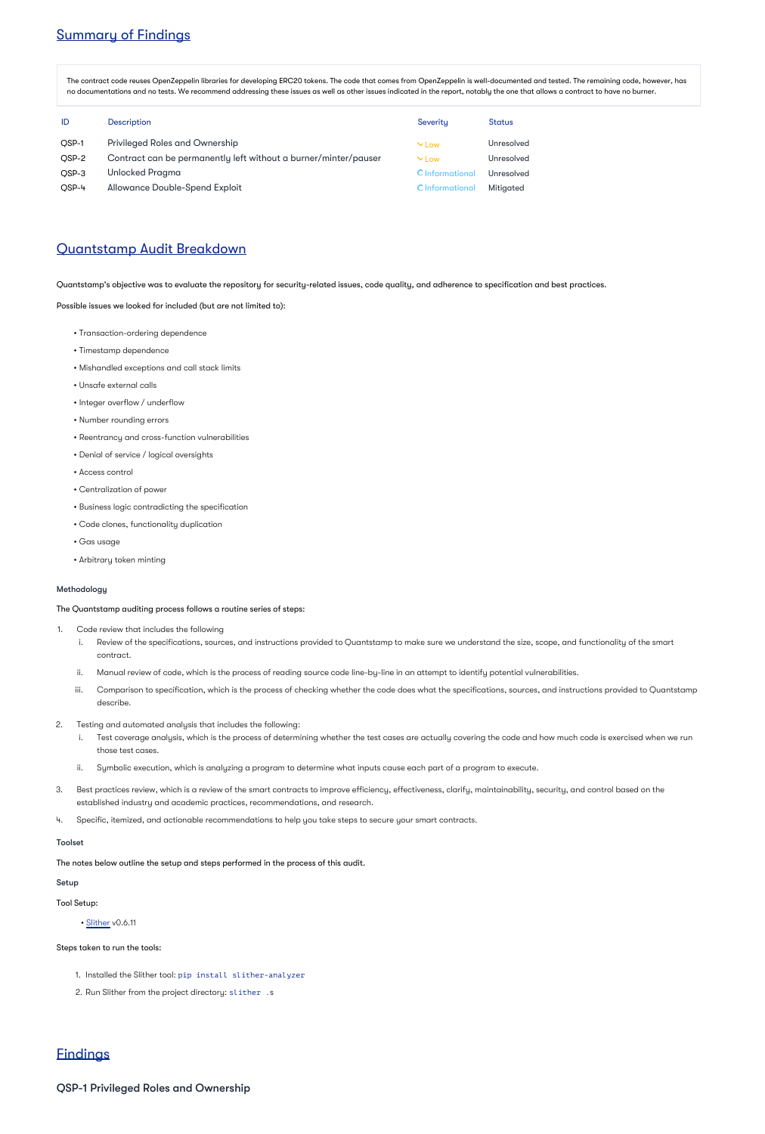# Summary of Findings

The contract code reuses OpenZeppelin libraries for developing ERC20 tokens. The code that comes from OpenZeppelin is well-documented and tested. The remaining code, however, has no documentations and no tests. We recommend addressing these issues as well as other issues indicated in the report, notably the one that allows a contract to have no burner.

| ID    | <b>Description</b>                                              | Severity        | <b>Status</b>     |
|-------|-----------------------------------------------------------------|-----------------|-------------------|
| OSP-1 | <b>Privileged Roles and Ownership</b>                           | $\vee$ Low      | Unresolved        |
| OSP-2 | Contract can be permanently left without a burner/minter/pauser | $\vee$ Low      | <b>Unresolved</b> |
| OSP-3 | <b>Unlocked Pragma</b>                                          | O Informational | Unresolved        |
| OSP-4 | <b>Allowance Double-Spend Exploit</b>                           | O Informational | <b>Mitigated</b>  |

### Quantstamp Audit Breakdown

Quantstamp's objective was to evaluate the repository for security-related issues, code quality, and adherence to specification and best practices.

Possible issues we looked for included (but are not limited to):

- Transaction-ordering dependence
- Timestamp dependence
- Mishandled exceptions and call stack limits
- Unsafe external calls
- Integer overflow / underflow
- Number rounding errors
- Reentrancy and cross-function vulnerabilities
- Denial of service / logical oversights
- Access control
- Centralization of power
- Business logic contradicting the specification
- Code clones, functionality duplication
- Gas usage
- Arbitrary token minting

### Methodology

The Quantstamp auditing process follows a routine series of steps:

- 1. Code review that includes the following
	- i. Review of the specifications, sources, and instructions provided to Quantstamp to make sure we understand the size, scope, and functionality of the smart contract.
	- ii. Manual review of code, which is the process of reading source code line-by-line in an attempt to identify potential vulnerabilities.
	- iii. Comparison to specification, which is the process of checking whether the code does what the specifications, sources, and instructions provided to Quantstamp describe.
- 2. Testing and automated analysis that includes the following:
	- i. Test coverage analysis, which is the process of determining whether the test cases are actually covering the code and how much code is exercised when we run those test cases.
	- ii. Symbolic execution, which is analyzing a program to determine what inputs cause each part of a program to execute.
- 3. Best practices review, which is a review of the smart contracts to improve efficiency, effectiveness, clarify, maintainability, security, and control based on the established industry and academic practices, recommendations, and research.
- 4. Specific, itemized, and actionable recommendations to help you take steps to secure your smart contracts.

### Toolset

The notes below outline the setup and steps performed in the process of this audit.

#### Setup

Tool Setup:

• [Slither](https://github.com/crytic/slither) v0.6.11

Steps taken to run the tools:

1. Installed the Slither tool: pip install slither-analyzer

2. Run Slither from the project directory: slither .s

## **Findings**

QSP-1 Privileged Roles and Ownership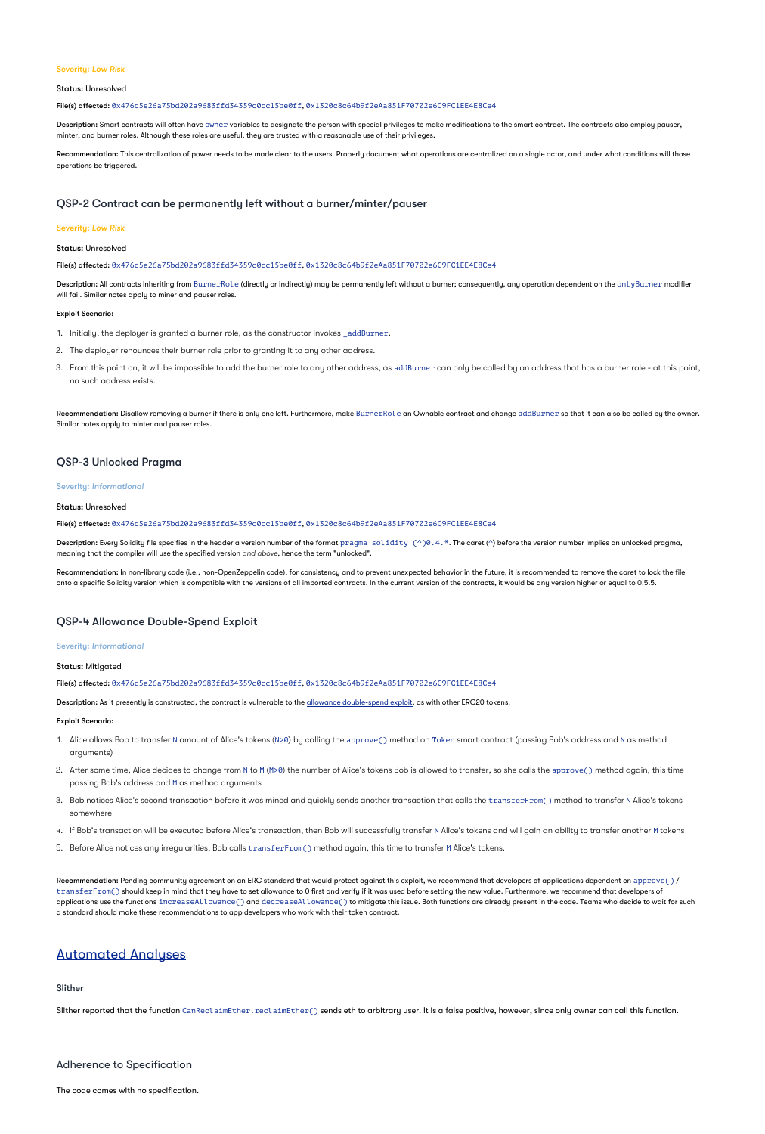#### Severity: *Low Risk*

#### Status: Unresolved

#### File(s) affected: 0x476c5e26a75bd202a9683ffd34359c0cc15be0ff, 0x1320c8c64b9f2eAa851F70702e6C9FC1EE4E8Ce4

Description: Smart contracts will often have owner variables to designate the person with special privileges to make modifications to the smart contract. The contracts also employ pauser, minter, and burner roles. Although these roles are useful, they are trusted with a reasonable use of their privileges.

**Recommendation:** This centralization of power needs to be made clear to the users. Properly document what operations are centralized on a single actor, and under what conditions will those operations be triggered.

Description: All contracts inheriting from BurnerRole (directly or indirectly) may be permanently left without a burner; consequently, any operation dependent on the onlyBurner modifier will fail. Similar notes apply to miner and pauser roles.

### QSP-2 Contract can be permanently left without a burner/minter/pauser

#### Severity: *Low Risk*

- 1. Initially, the deployer is granted a burner role, as the constructor invokes \_addBurner.
- 2. The deployer renounces their burner role prior to granting it to any other address.
- 3. From this point on, it will be impossible to add the burner role to any other address, as addBurner can only be called by an address that has a burner role at this point, no such address exists.

#### Status: Unresolved

#### File(s) affected: 0x476c5e26a75bd202a9683ffd34359c0cc15be0ff, 0x1320c8c64b9f2eAa851F70702e6C9FC1EE4E8Ce4

Recommendation: Disallow removing a burner if there is only one left. Furthermore, make BurnerRole an Ownable contract and change  ${\rm addBurner}$  so that it can also be called by the owner. Similar notes apply to minter and pauser roles.

#### Exploit Scenario:

### QSP-3 Unlocked Pragma

#### Severity: *Informational*

Status: Unresolved

#### File(s) affected: 0x476c5e26a75bd202a9683ffd34359c0cc15be0ff, 0x1320c8c64b9f2eAa851F70702e6C9FC1EE4E8Ce4

**Description:** Every Solidity file specifies in the header a version number of the format  $\text{pragma }\text{solidity }(\wedge) \theta$  . 4 .  $*$  . The caret ( $\wedge$ ) before the version number implies an unlocked pragma, meaning that the compiler will use the specified version and above, hence the term "unlocked".

**Recommendation:** In non-library code (i.e., non-OpenZeppelin code), for consistency and to prevent unexpected behavior in the future, it is recommended to remove the caret to lock the file onto a specific Solidity version which is compatible with the versions of all imported contracts. In the current version of the contracts, it would be any version higher or equal to 0.5.5.

- 1. Alice allows Bob to transfer N amount of Alice's tokens (N>0) by calling the approve( ) method on Token smart contract (passing Bob's address and N as method arguments)
- 2. After some time, Alice decides to change from N to M (M>0) the number of Alice's tokens Bob is allowed to transfer, so she calls the approve( ) method again, this time passing Bob's address and M as method arguments
- 3. Bob notices Alice's second transaction before it was mined and quickly sends another transaction that calls the  $\verb|transferFrom()|$  method to transfer N Alice's tokens somewhere
- 4. If Bob's transaction will be executed before Alice's transaction, then Bob will successfully transfer N Alice's tokens and will gain an ability to transfer another M tokens
- 5. Before Alice notices any irregularities, Bob calls transferFrom() method again, this time to transfer M Alice's tokens.

 $\sf Recommendation:$  Pending community agreement on an ERC standard that would protect against this exploit, we recommend that developers of applications dependent on  $\sf{approve}()$  / <code>transferFrom()</code> should keep in mind that they have to set allowance to 0 first and verify if it was used before setting the new value. Furthermore, we recommend that developers of applications use the functions <code>increaseAllowance()</code> and <code>decreaseAllowance()</code> to mitigate this issue. Both functions are already present in the code. Teams who decide to wait for such a standard should make these recommendations to app developers who work with their token contract.

### QSP-4 Allowance Double-Spend Exploit

#### Severity: *Informational*

Status: Mitigated

File(s) affected: 0x476c5e26a75bd202a9683ffd34359c0cc15be0ff, 0x1320c8c64b9f2eAa851F70702e6C9FC1EE4E8Ce4

Description: As it presently is constructed, the contract is vulnerable to the [allowance double-spend exploit,](https://github.com/OpenZeppelin/openzeppelin-solidity/blob/b4f87bb8fc25fb07f73099701e39e167a3d36465/contracts/token/ERC20/ERC20.sol#L71-L78) as with other ERC20 tokens.

Exploit Scenario:

### Automated Analyses

Slither

Slither reported that the function CanReclaimEther.reclaimEther() sends eth to arbitrary user. It is a false positive, however, since only owner can call this function.

Adherence to Specification

The code comes with no specification.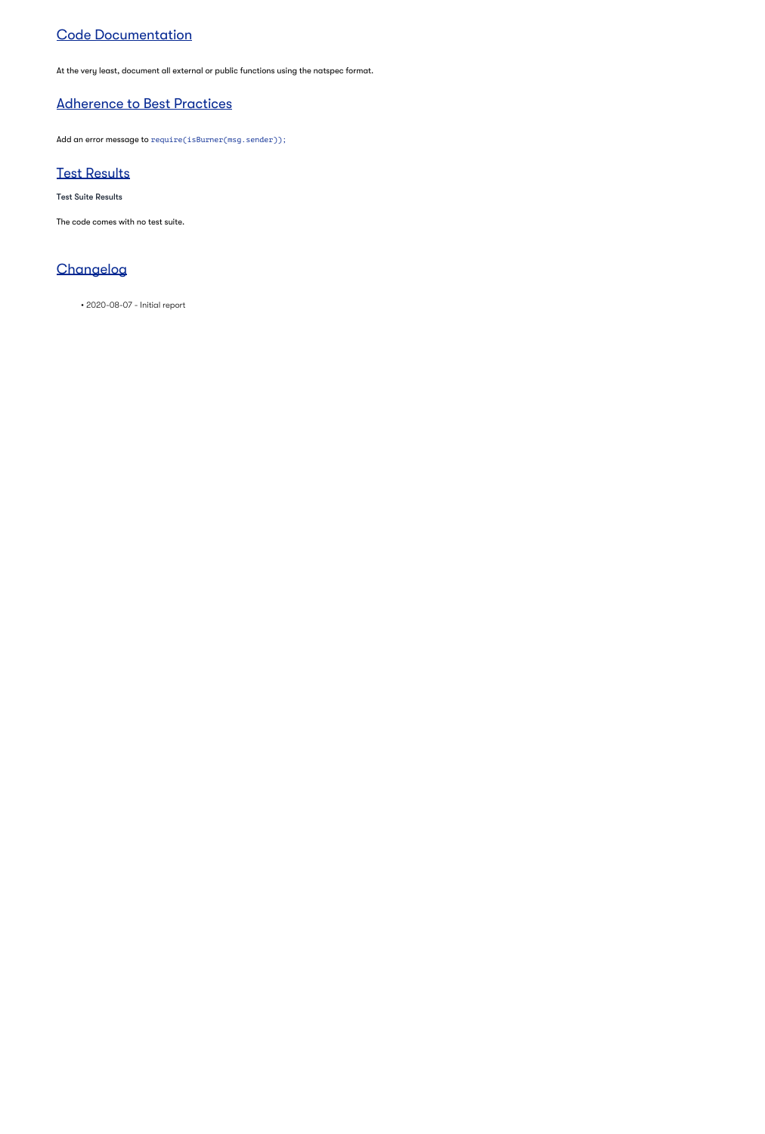# Code Documentation

At the very least, document all external or public functions using the natspec format.

# Adherence to Best Practices

Add an error message to require(isBurner(msg.sender));

# Test Results

Test Suite Results

The code comes with no test suite.

# **Changelog**

• 2020-08-07 - Initial report